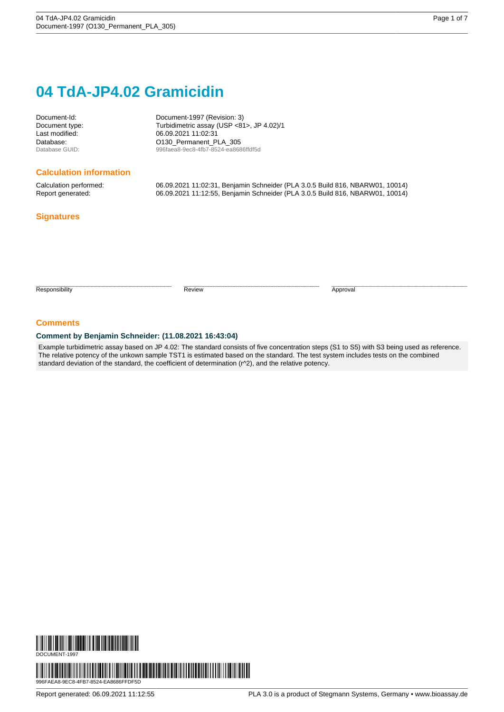# **04 TdA-JP4.02 Gramicidin**

Document-Id: Document-1997 (Revision: 3) Document type: Turbidimetric assay (USP <81>, JP 4.02)/1 06.09.2021 11:02:31 Database: COMBET COMPRESS CONSUMING DATABASE Database GUID:<br>
996faea8-9ec8-4fb7-8524-ea868 996faea8-9ec8-4fb7-8524-ea8686ffdf5d

#### **Calculation information**

Calculation performed: 06.09.2021 11:02:31, Benjamin Schneider (PLA 3.0.5 Build 816, NBARW01, 10014) Report generated: 06.09.2021 11:12:55, Benjamin Schneider (PLA 3.0.5 Build 816, NBARW01, 10014)

### **Signatures**

Responsibility **Approval** 

#### **Comments**

#### **Comment by Benjamin Schneider: (11.08.2021 16:43:04)**

Example turbidimetric assay based on JP 4.02: The standard consists of five concentration steps (S1 to S5) with S3 being used as reference. The relative potency of the unkown sample TST1 is estimated based on the standard. The test system includes tests on the combined standard deviation of the standard, the coefficient of determination (r^2), and the relative potency.

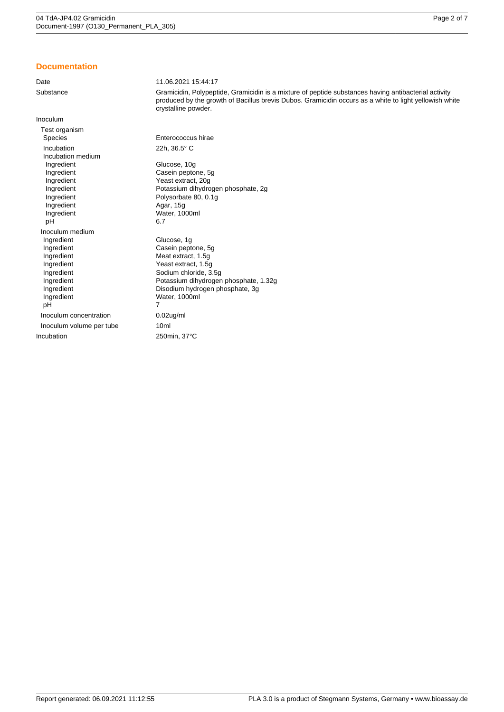### **Documentation**

| Date                                                                                                                                         | 11.06.2021 15:44:17                                                                                                                                                                                                                   |
|----------------------------------------------------------------------------------------------------------------------------------------------|---------------------------------------------------------------------------------------------------------------------------------------------------------------------------------------------------------------------------------------|
| Substance                                                                                                                                    | Gramicidin, Polypeptide, Gramicidin is a mixture of peptide substances having antibacterial activity<br>produced by the growth of Bacillus brevis Dubos. Gramicidin occurs as a white to light yellowish white<br>crystalline powder. |
| Inoculum                                                                                                                                     |                                                                                                                                                                                                                                       |
| Test organism<br><b>Species</b>                                                                                                              | Enterococcus hirae                                                                                                                                                                                                                    |
| Incubation<br>Incubation medium                                                                                                              | 22h, 36.5° C                                                                                                                                                                                                                          |
| Ingredient<br>Ingredient<br>Ingredient                                                                                                       | Glucose, 10g<br>Casein peptone, 5g<br>Yeast extract, 20g                                                                                                                                                                              |
| Ingredient<br>Ingredient                                                                                                                     | Potassium dihydrogen phosphate, 2g<br>Polysorbate 80, 0.1g                                                                                                                                                                            |
| Ingredient<br>Ingredient<br>pH                                                                                                               | Agar, 15g<br>Water, 1000ml<br>6.7                                                                                                                                                                                                     |
| Inoculum medium                                                                                                                              |                                                                                                                                                                                                                                       |
| Ingredient<br>Ingredient<br>Ingredient<br>Ingredient<br>Ingredient<br>Ingredient<br>Ingredient<br>Ingredient<br>pH<br>Inoculum concentration | Glucose, 1g<br>Casein peptone, 5g<br>Meat extract, 1.5g<br>Yeast extract, 1.5g<br>Sodium chloride, 3.5q<br>Potassium dihydrogen phosphate, 1.32g<br>Disodium hydrogen phosphate, 3g<br>Water, 1000ml<br>7<br>$0.02$ ug/ml             |
|                                                                                                                                              |                                                                                                                                                                                                                                       |
| Inoculum volume per tube                                                                                                                     | 10 <sub>ml</sub>                                                                                                                                                                                                                      |
| Incubation                                                                                                                                   | 250min, 37°C                                                                                                                                                                                                                          |
|                                                                                                                                              |                                                                                                                                                                                                                                       |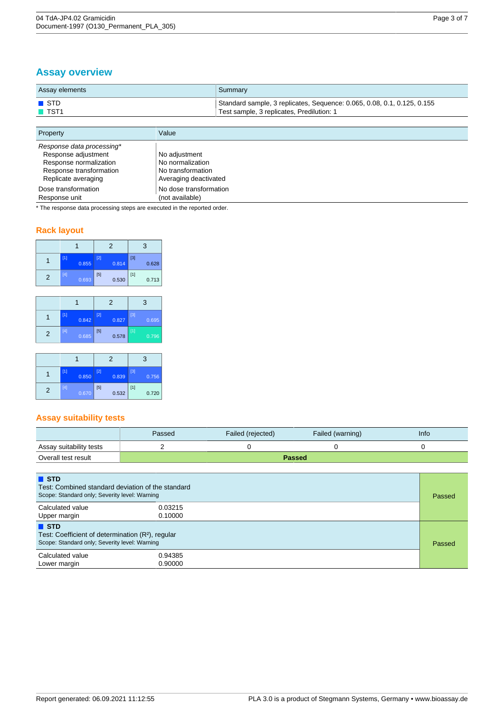## **Assay overview**

| Assay elements      | Summary                                                                 |
|---------------------|-------------------------------------------------------------------------|
| $\blacksquare$ STD  | Standard sample, 3 replicates, Sequence: 0.065, 0.08, 0.1, 0.125, 0.155 |
| $\blacksquare$ TST1 | Test sample, 3 replicates, Predilution: 1                               |

| Property                                                                                                                     | Value                                                                           |
|------------------------------------------------------------------------------------------------------------------------------|---------------------------------------------------------------------------------|
| Response data processing*<br>Response adjustment<br>Response normalization<br>Response transformation<br>Replicate averaging | No adjustment<br>No normalization<br>No transformation<br>Averaging deactivated |
| Dose transformation<br>Response unit                                                                                         | No dose transformation<br>(not available)                                       |

\* The response data processing steps are executed in the reported order.

## **Rack layout**

|               |     |       |     | 2     |       | 3     |
|---------------|-----|-------|-----|-------|-------|-------|
|               |     | 0.855 | [2] | 0.814 | $[3]$ | 0.628 |
| $\mathcal{P}$ | [4] | 0.693 | [5] | 0.530 | $[1]$ | 0.713 |

|   |                 |       |     | 2     |                   | 3     |
|---|-----------------|-------|-----|-------|-------------------|-------|
|   | $\overline{11}$ | 0.842 | [2] | 0.827 | $[3]$             | 0.695 |
| 2 | [4]             | 0.685 | [5] | 0.578 | $\lceil 1 \rceil$ | 0.796 |

|   |     |       |     | 2     |       | 3     |
|---|-----|-------|-----|-------|-------|-------|
|   |     | 0.850 | [2] | 0.839 | [3]   | 0.756 |
| 2 | [4] | 0.670 | [5] | 0.532 | $[1]$ | 0.720 |

## **Assay suitability tests**

|                         | Passed | Failed (rejected) | Failed (warning) | <b>Info</b> |
|-------------------------|--------|-------------------|------------------|-------------|
| Assay suitability tests |        |                   |                  |             |
| Overall test result     | Passed |                   |                  |             |

| $\blacksquare$ STD<br>Test: Combined standard deviation of the standard<br>Scope: Standard only; Severity level: Warning             |                    |  |  |
|--------------------------------------------------------------------------------------------------------------------------------------|--------------------|--|--|
| Calculated value<br>Upper margin                                                                                                     | 0.03215<br>0.10000 |  |  |
| $\blacksquare$ STD<br>Test: Coefficient of determination (R <sup>2</sup> ), regular<br>Scope: Standard only; Severity level: Warning |                    |  |  |
| Calculated value<br>Lower margin                                                                                                     | 0.94385<br>0.90000 |  |  |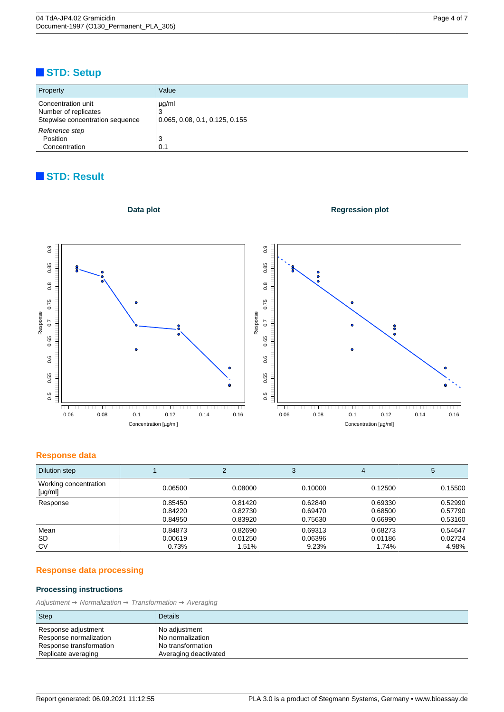## <span id="page-3-0"></span>**STD: Setup**

| Property                                                                      | Value                                             |
|-------------------------------------------------------------------------------|---------------------------------------------------|
| Concentration unit<br>Number of replicates<br>Stepwise concentration sequence | $\mu$ g/ml<br>J<br>0.065, 0.08, 0.1, 0.125, 0.155 |
| Reference step<br>Position<br>Concentration                                   | 3<br>0.1                                          |

## **STD: Result**



### **Regression plot**



#### **Response data**

| Dilution step                         |         | ◠       | 3       | 4       | 5       |
|---------------------------------------|---------|---------|---------|---------|---------|
| Working concentration<br>$[\mu g/ml]$ | 0.06500 | 0.08000 | 0.10000 | 0.12500 | 0.15500 |
| Response                              | 0.85450 | 0.81420 | 0.62840 | 0.69330 | 0.52990 |
|                                       | 0.84220 | 0.82730 | 0.69470 | 0.68500 | 0.57790 |
|                                       | 0.84950 | 0.83920 | 0.75630 | 0.66990 | 0.53160 |
| Mean                                  | 0.84873 | 0.82690 | 0.69313 | 0.68273 | 0.54647 |
| SD.                                   | 0.00619 | 0.01250 | 0.06396 | 0.01186 | 0.02724 |
| CV                                    | 0.73%   | 1.51%   | 9.23%   | 1.74%   | 4.98%   |

## **Response data processing**

## **Processing instructions**

 $Adjustment \rightarrow Normalization \rightarrow Transformation \rightarrow Average$ 

| Step                    | <b>Details</b>        |
|-------------------------|-----------------------|
| Response adjustment     | No adjustment         |
| Response normalization  | No normalization      |
| Response transformation | l No transformation   |
| Replicate averaging     | Averaging deactivated |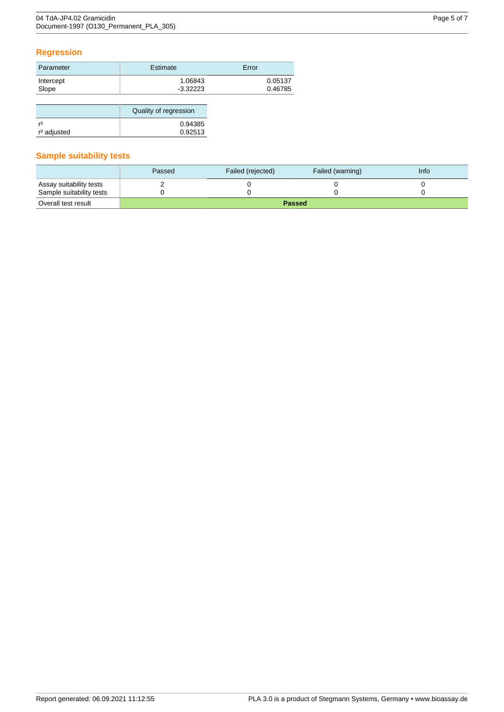## **Regression**

| Parameter | Estimate   | Error   |
|-----------|------------|---------|
| Intercept | 1.06843    | 0.05137 |
| Slope     | $-3.32223$ | 0.46785 |
|           |            |         |

|                         | Quality of regression |  |
|-------------------------|-----------------------|--|
| r <sup>2</sup>          | 0.94385               |  |
| r <sup>2</sup> adjusted | 0.92513               |  |

## **Sample suitability tests**

|                          | Passed | Failed (rejected) | Failed (warning) | <b>Info</b> |
|--------------------------|--------|-------------------|------------------|-------------|
| Assay suitability tests  |        |                   |                  |             |
| Sample suitability tests |        |                   |                  |             |
| Overall test result      |        |                   | <b>Passed</b>    |             |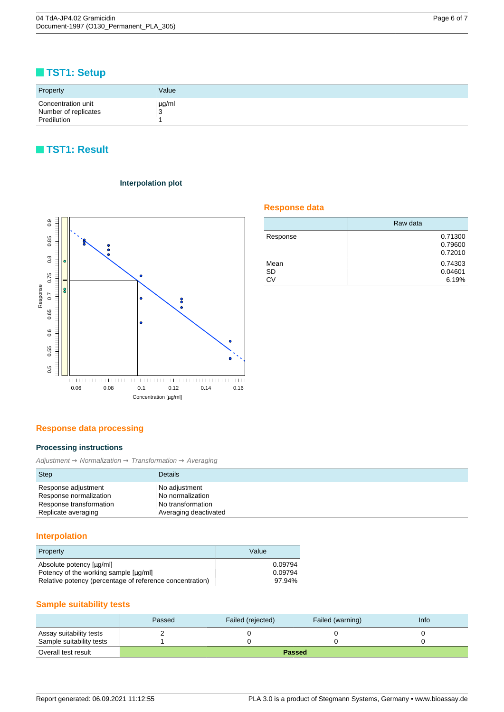## <span id="page-5-0"></span>**TST1: Setup**

| Property                                                  | Value      |
|-----------------------------------------------------------|------------|
| Concentration unit<br>Number of replicates<br>Predilution | µg/ml<br>v |

## **TST1: Result**



### **Interpolation plot**

### **Response data**

|           | Raw data |
|-----------|----------|
| Response  | 0.71300  |
|           | 0.79600  |
|           | 0.72010  |
| Mean      | 0.74303  |
| SD        | 0.04601  |
| <b>CV</b> | 6.19%    |

### **Response data processing**

#### **Processing instructions**

 $\mathit{Adjustment} \xrightarrow{} \mathit{Normalization} \xrightarrow{} \mathit{Transformation} \xrightarrow{} \mathit{Avariant}$ 

| <b>Step</b>             | <b>Details</b>        |
|-------------------------|-----------------------|
| Response adjustment     | No adjustment         |
| Response normalization  | No normalization      |
| Response transformation | No transformation     |
| Replicate averaging     | Averaging deactivated |

## **Interpolation**

| Property                                                 | Value   |
|----------------------------------------------------------|---------|
| Absolute potency [µq/ml]                                 | 0.09794 |
| Potency of the working sample [µq/ml]                    | 0.09794 |
| Relative potency (percentage of reference concentration) | 97.94%  |

### **Sample suitability tests**

|                          | Passed        | Failed (rejected) | Failed (warning) | <b>Info</b> |
|--------------------------|---------------|-------------------|------------------|-------------|
| Assay suitability tests  |               |                   |                  |             |
| Sample suitability tests |               |                   |                  |             |
| Overall test result      | <b>Passed</b> |                   |                  |             |